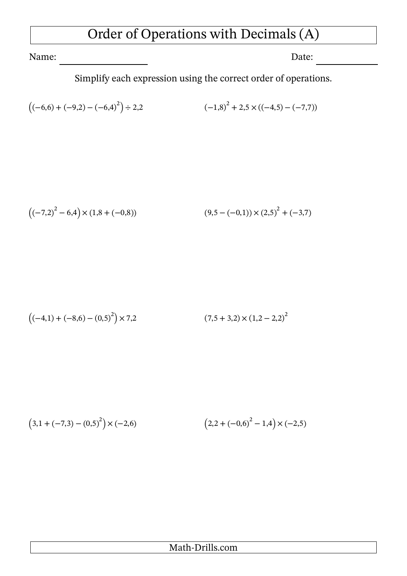## Order of Operations with Decimals (A)

Name: Date: Date:

Simplify each expression using the correct order of operations.

$$
((-6,6) + (-9,2) - (-6,4)^{2}) \div 2,2
$$
\n
$$
(-1,8)^{2} + 2,5 \times ((-4,5) - (-7,7))
$$

$$
((-7,2)^2 - 6,4) \times (1,8 + (-0,8))
$$
\n
$$
(9,5 - (-0,1)) \times (2,5)^2 + (-3,7)
$$

$$
((-4,1) + (-8,6) - (0,5)^{2}) \times 7,2
$$
\n(7,5 + 3,2) × (1,2 – 2,2)<sup>2</sup>

$$
(3,1 + (-7,3) - (0,5)^{2}) \times (-2,6) \qquad (2,2 + (-0,6)^{2} - 1,4) \times (-2,5)
$$